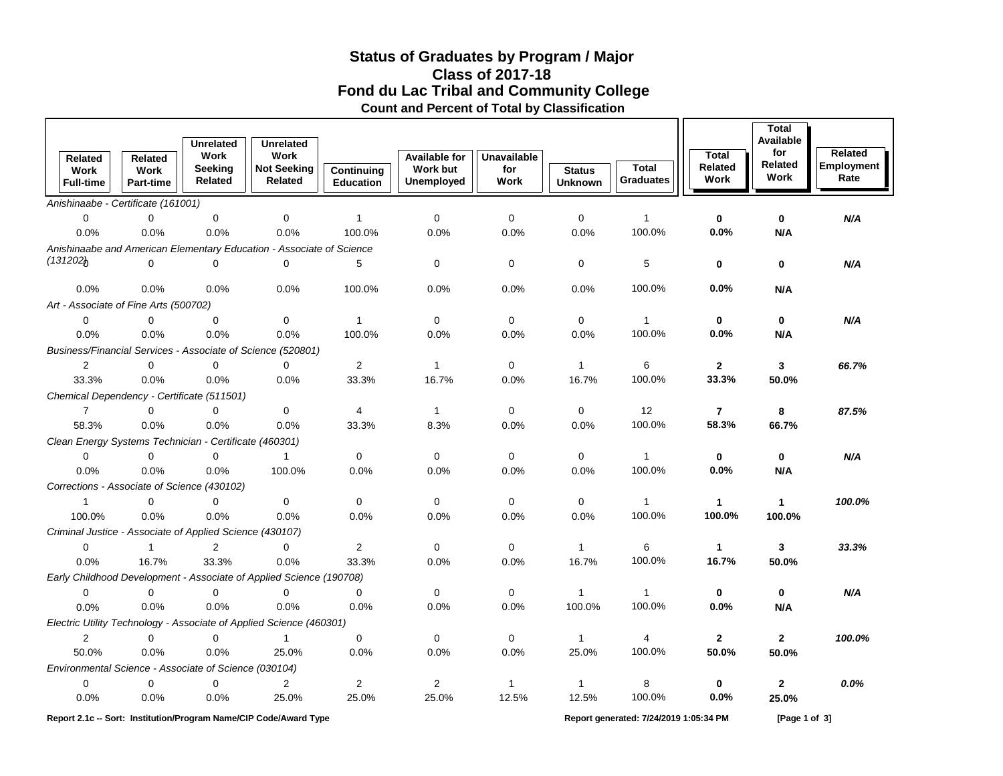## **Fond du Lac Tribal and Community College Status of Graduates by Program / Major Count and Percent of Total by Classification Class of 2017-18**

| <b>Related</b><br>Work<br><b>Full-time</b>                                                                  | Related<br><b>Work</b><br><b>Part-time</b> | <b>Unrelated</b><br>Work<br>Seeking<br>Related | <b>Unrelated</b><br>Work<br><b>Not Seeking</b><br>Related            | Continuing<br><b>Education</b> | <b>Available for</b><br>Work but<br><b>Unemployed</b> | <b>Unavailable</b><br>for<br>Work | <b>Status</b><br><b>Unknown</b> | <b>Total</b><br><b>Graduates</b> | <b>Total</b><br>Related<br>Work | <b>Total</b><br>Available<br>for<br>Related<br>Work | Related<br>Employment<br>Rate |
|-------------------------------------------------------------------------------------------------------------|--------------------------------------------|------------------------------------------------|----------------------------------------------------------------------|--------------------------------|-------------------------------------------------------|-----------------------------------|---------------------------------|----------------------------------|---------------------------------|-----------------------------------------------------|-------------------------------|
| Anishinaabe - Certificate (161001)                                                                          |                                            |                                                |                                                                      |                                |                                                       |                                   |                                 |                                  |                                 |                                                     |                               |
| $\mathbf 0$                                                                                                 | $\mathbf 0$                                | $\mathbf 0$                                    | 0                                                                    | $\mathbf{1}$                   | $\mathbf{0}$                                          | $\pmb{0}$                         | $\mathbf 0$                     | $\mathbf{1}$                     | 0                               | 0                                                   | N/A                           |
| 0.0%                                                                                                        | 0.0%                                       | 0.0%                                           | 0.0%                                                                 | 100.0%                         | 0.0%                                                  | 0.0%                              | 0.0%                            | 100.0%                           | 0.0%                            | N/A                                                 |                               |
|                                                                                                             |                                            |                                                | Anishinaabe and American Elementary Education - Associate of Science |                                |                                                       |                                   |                                 |                                  |                                 |                                                     |                               |
| (131202)                                                                                                    | $\Omega$                                   | $\mathbf 0$                                    | $\mathbf 0$                                                          | 5                              | 0                                                     | 0                                 | 0                               | 5                                | 0                               | 0                                                   | N/A                           |
| 0.0%                                                                                                        | 0.0%                                       | 0.0%                                           | 0.0%                                                                 | 100.0%                         | 0.0%                                                  | 0.0%                              | 0.0%                            | 100.0%                           | 0.0%                            | N/A                                                 |                               |
| Art - Associate of Fine Arts (500702)                                                                       |                                            |                                                |                                                                      |                                |                                                       |                                   |                                 |                                  |                                 |                                                     |                               |
| $\mathbf 0$                                                                                                 | 0                                          | $\mathbf 0$                                    | 0                                                                    | $\mathbf{1}$                   | 0                                                     | 0                                 | 0                               | $\mathbf{1}$                     | 0                               | $\mathbf 0$                                         | N/A                           |
| 0.0%                                                                                                        | 0.0%                                       | 0.0%                                           | 0.0%                                                                 | 100.0%                         | 0.0%                                                  | 0.0%                              | 0.0%                            | 100.0%                           | 0.0%                            | N/A                                                 |                               |
|                                                                                                             |                                            |                                                | Business/Financial Services - Associate of Science (520801)          |                                |                                                       |                                   |                                 |                                  |                                 |                                                     |                               |
| $\overline{c}$                                                                                              | $\Omega$                                   | 0                                              | $\Omega$                                                             | $\boldsymbol{2}$               | $\mathbf{1}$                                          | 0                                 | $\mathbf{1}$                    | 6                                | $\mathbf{2}$                    | 3                                                   | 66.7%                         |
| 33.3%                                                                                                       | 0.0%                                       | 0.0%                                           | 0.0%                                                                 | 33.3%                          | 16.7%                                                 | 0.0%                              | 16.7%                           | 100.0%                           | 33.3%                           | 50.0%                                               |                               |
| Chemical Dependency - Certificate (511501)                                                                  |                                            |                                                |                                                                      |                                |                                                       |                                   |                                 |                                  |                                 |                                                     |                               |
| $\overline{7}$                                                                                              | 0                                          | 0                                              | $\mathbf 0$                                                          | $\overline{4}$                 | $\mathbf{1}$                                          | 0                                 | $\mathbf 0$                     | 12                               | $\overline{7}$                  | 8                                                   | 87.5%                         |
| 58.3%                                                                                                       | 0.0%                                       | 0.0%                                           | 0.0%                                                                 | 33.3%                          | 8.3%                                                  | 0.0%                              | 0.0%                            | 100.0%                           | 58.3%                           | 66.7%                                               |                               |
| Clean Energy Systems Technician - Certificate (460301)                                                      |                                            |                                                |                                                                      |                                |                                                       |                                   |                                 |                                  |                                 |                                                     |                               |
| $\mathbf 0$                                                                                                 | $\mathbf 0$                                | $\mathbf 0$                                    | $\mathbf{1}$                                                         | 0                              | $\mathbf 0$                                           | 0                                 | 0                               | $\mathbf{1}$                     | 0                               | 0                                                   | N/A                           |
| 0.0%                                                                                                        | 0.0%                                       | 0.0%                                           | 100.0%                                                               | 0.0%                           | 0.0%                                                  | 0.0%                              | 0.0%                            | 100.0%                           | 0.0%                            | N/A                                                 |                               |
| Corrections - Associate of Science (430102)                                                                 |                                            |                                                |                                                                      |                                |                                                       |                                   |                                 |                                  |                                 |                                                     |                               |
| 1                                                                                                           | $\mathbf 0$                                | 0                                              | $\mathbf 0$                                                          | $\mathbf 0$                    | $\mathbf{0}$                                          | $\mathbf 0$                       | $\mathbf 0$                     | $\overline{1}$                   | 1                               | $\mathbf{1}$                                        | 100.0%                        |
| 100.0%                                                                                                      | 0.0%                                       | 0.0%                                           | 0.0%                                                                 | 0.0%                           | 0.0%                                                  | 0.0%                              | 0.0%                            | 100.0%                           | 100.0%                          | 100.0%                                              |                               |
| Criminal Justice - Associate of Applied Science (430107)                                                    |                                            |                                                |                                                                      |                                |                                                       |                                   |                                 |                                  |                                 |                                                     |                               |
| $\mathbf 0$                                                                                                 | $\mathbf{1}$                               | 2                                              | $\Omega$                                                             | 2                              | $\mathbf 0$                                           | 0                                 | $\mathbf{1}$                    | 6                                | $\mathbf{1}$                    | 3                                                   | 33.3%                         |
| 0.0%                                                                                                        | 16.7%                                      | 33.3%                                          | 0.0%                                                                 | 33.3%                          | 0.0%                                                  | 0.0%                              | 16.7%                           | 100.0%                           | 16.7%                           | 50.0%                                               |                               |
|                                                                                                             |                                            |                                                | Early Childhood Development - Associate of Applied Science (190708)  |                                |                                                       |                                   |                                 |                                  |                                 |                                                     |                               |
| $\mathbf 0$                                                                                                 | 0                                          | 0                                              | 0                                                                    | $\mathbf 0$                    | 0                                                     | 0                                 | $\mathbf{1}$                    | $\mathbf{1}$                     | 0                               | 0                                                   | N/A                           |
| 0.0%                                                                                                        | 0.0%                                       | 0.0%                                           | 0.0%                                                                 | 0.0%                           | 0.0%                                                  | 0.0%                              | 100.0%                          | 100.0%                           | 0.0%                            | N/A                                                 |                               |
|                                                                                                             |                                            |                                                | Electric Utility Technology - Associate of Applied Science (460301)  |                                |                                                       |                                   |                                 |                                  |                                 |                                                     |                               |
| $\overline{2}$                                                                                              | 0                                          | 0                                              | $\mathbf{1}$                                                         | 0                              | 0                                                     | 0                                 | $\mathbf{1}$                    | 4                                | $\mathbf{2}$                    | $\mathbf{2}$                                        | 100.0%                        |
| 50.0%                                                                                                       | 0.0%                                       | 0.0%                                           | 25.0%                                                                | 0.0%                           | 0.0%                                                  | 0.0%                              | 25.0%                           | 100.0%                           | 50.0%                           | 50.0%                                               |                               |
| Environmental Science - Associate of Science (030104)                                                       |                                            |                                                |                                                                      |                                |                                                       |                                   |                                 |                                  |                                 |                                                     |                               |
| 0                                                                                                           | 0                                          | 0                                              | 2                                                                    | 2                              | $\overline{c}$                                        | $\mathbf{1}$                      | $\mathbf{1}$                    | 8                                | 0                               | 2                                                   | 0.0%                          |
| 0.0%                                                                                                        | 0.0%                                       | 0.0%                                           | 25.0%                                                                | 25.0%                          | 25.0%                                                 | 12.5%                             | 12.5%                           | 100.0%                           | $0.0\%$                         | 25.0%                                               |                               |
| Report 2.1c -- Sort: Institution/Program Name/CIP Code/Award Type<br>Report generated: 7/24/2019 1:05:34 PM |                                            |                                                |                                                                      |                                |                                                       |                                   |                                 |                                  | [Page 1 of 3]                   |                                                     |                               |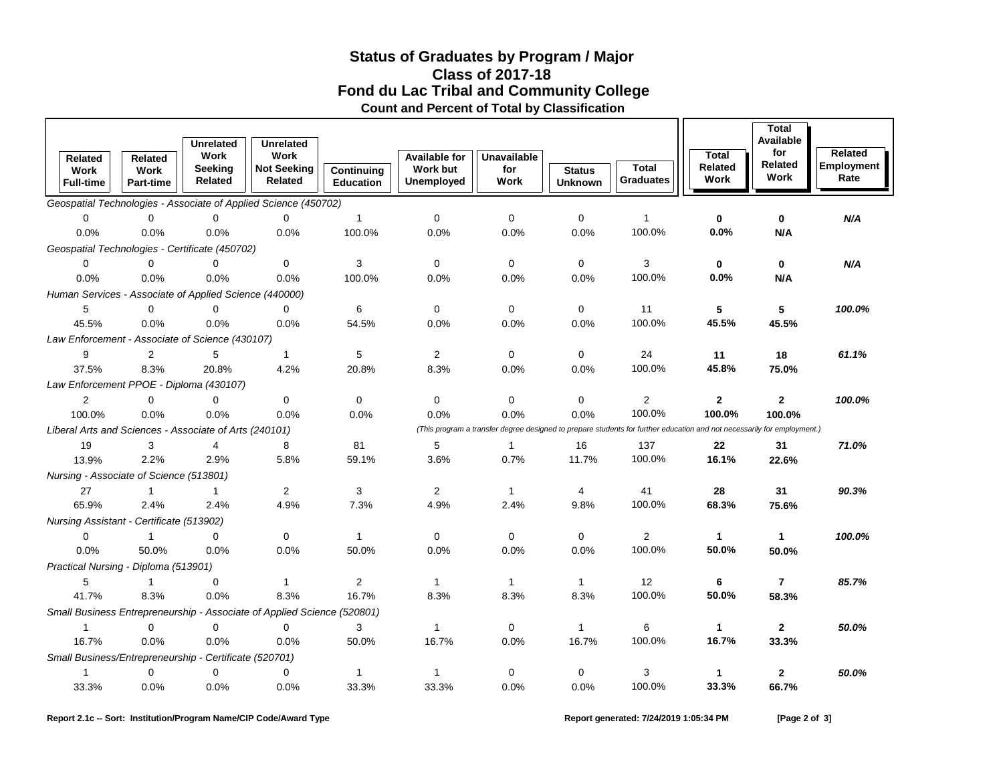## **Fond du Lac Tribal and Community College Status of Graduates by Program / Major Count and Percent of Total by Classification Class of 2017-18**

|                                                                                                                                                                                   | Related                                                | <b>Related</b>                  | <b>Unrelated</b><br><b>Work</b> | <b>Unrelated</b><br>Work                                                               |                                | <b>Available for</b>          | <b>Unavailable</b>   |                                 |                                  | <b>Total</b>          | <b>Total</b><br>Available<br>for | <b>Related</b>            |
|-----------------------------------------------------------------------------------------------------------------------------------------------------------------------------------|--------------------------------------------------------|---------------------------------|---------------------------------|----------------------------------------------------------------------------------------|--------------------------------|-------------------------------|----------------------|---------------------------------|----------------------------------|-----------------------|----------------------------------|---------------------------|
|                                                                                                                                                                                   | Work<br><b>Full-time</b>                               | <b>Work</b><br><b>Part-time</b> | Seeking<br><b>Related</b>       | <b>Not Seeking</b><br><b>Related</b>                                                   | Continuing<br><b>Education</b> | <b>Work but</b><br>Unemployed | for<br>Work          | <b>Status</b><br><b>Unknown</b> | <b>Total</b><br><b>Graduates</b> | Related<br>Work       | Related<br>Work                  | <b>Employment</b><br>Rate |
| Geospatial Technologies - Associate of Applied Science (450702)                                                                                                                   |                                                        |                                 |                                 |                                                                                        |                                |                               |                      |                                 |                                  |                       |                                  |                           |
|                                                                                                                                                                                   | $\mathbf 0$                                            | $\mathbf 0$                     | $\mathbf 0$                     | $\mathbf 0$                                                                            | $\mathbf{1}$                   | $\mathbf 0$                   | $\mathbf 0$          | $\mathbf 0$                     | $\mathbf{1}$                     | 0                     | $\mathbf 0$                      | N/A                       |
|                                                                                                                                                                                   | 0.0%                                                   | 0.0%                            | 0.0%                            | 0.0%                                                                                   | 100.0%                         | 0.0%                          | 0.0%                 | 0.0%                            | 100.0%                           | 0.0%                  | N/A                              |                           |
| Geospatial Technologies - Certificate (450702)                                                                                                                                    |                                                        |                                 |                                 |                                                                                        |                                |                               |                      |                                 |                                  |                       |                                  |                           |
|                                                                                                                                                                                   | 0                                                      | $\Omega$                        | $\Omega$                        | $\Omega$                                                                               | 3                              | $\mathbf 0$                   | $\mathbf 0$          | $\mathbf 0$                     | 3                                | 0                     | $\mathbf 0$                      | N/A                       |
|                                                                                                                                                                                   | 0.0%                                                   | 0.0%                            | 0.0%                            | 0.0%                                                                                   | 100.0%                         | 0.0%                          | 0.0%                 | 0.0%                            | 100.0%                           | 0.0%                  | N/A                              |                           |
| Human Services - Associate of Applied Science (440000)                                                                                                                            |                                                        |                                 |                                 |                                                                                        |                                |                               |                      |                                 |                                  |                       |                                  |                           |
|                                                                                                                                                                                   | 5                                                      | $\Omega$                        | $\Omega$                        | $\Omega$                                                                               | 6                              | $\mathbf 0$                   | $\mathbf 0$          | $\mathbf 0$                     | 11                               | 5                     | 5                                | 100.0%                    |
|                                                                                                                                                                                   | 45.5%                                                  | 0.0%                            | 0.0%                            | 0.0%                                                                                   | 54.5%                          | 0.0%                          | 0.0%                 | 0.0%                            | 100.0%                           | 45.5%                 | 45.5%                            |                           |
|                                                                                                                                                                                   | Law Enforcement - Associate of Science (430107)        |                                 |                                 |                                                                                        |                                |                               |                      |                                 |                                  |                       |                                  |                           |
|                                                                                                                                                                                   | 9                                                      | 2                               | 5                               | $\mathbf{1}$                                                                           | 5                              | 2                             | $\mathbf 0$          | $\mathbf 0$                     | 24                               | 11                    | 18                               | 61.1%                     |
|                                                                                                                                                                                   | 37.5%                                                  | 8.3%                            | 20.8%                           | 4.2%                                                                                   | 20.8%                          | 8.3%                          | 0.0%                 | 0.0%                            | 100.0%                           | 45.8%                 | 75.0%                            |                           |
|                                                                                                                                                                                   | Law Enforcement PPOE - Diploma (430107)                |                                 |                                 |                                                                                        |                                |                               |                      |                                 |                                  |                       |                                  |                           |
|                                                                                                                                                                                   | 2                                                      | $\mathbf 0$                     | 0                               | $\mathbf 0$                                                                            | 0                              | 0                             | $\mathbf 0$          | 0                               | $\overline{2}$                   | $\mathbf{2}$          | 2                                | 100.0%                    |
|                                                                                                                                                                                   | 100.0%                                                 | 0.0%                            | 0.0%                            | 0.0%                                                                                   | 0.0%                           | 0.0%                          | 0.0%                 | 0.0%                            | 100.0%                           | 100.0%                | 100.0%                           |                           |
| (This program a transfer degree designed to prepare students for further education and not necessarily for employment.)<br>Liberal Arts and Sciences - Associate of Arts (240101) |                                                        |                                 |                                 |                                                                                        |                                |                               |                      |                                 |                                  |                       |                                  |                           |
|                                                                                                                                                                                   | 19                                                     | 3                               | 4                               | 8                                                                                      | 81                             | 5                             | $\mathbf{1}$         | 16                              | 137                              | 22                    | 31                               | 71.0%                     |
|                                                                                                                                                                                   | 13.9%                                                  | 2.2%                            | 2.9%                            | 5.8%                                                                                   | 59.1%                          | 3.6%                          | 0.7%                 | 11.7%                           | 100.0%                           | 16.1%                 | 22.6%                            |                           |
|                                                                                                                                                                                   | Nursing - Associate of Science (513801)                |                                 |                                 |                                                                                        |                                |                               |                      |                                 |                                  |                       |                                  |                           |
|                                                                                                                                                                                   | 27                                                     | $\mathbf{1}$                    | $\mathbf{1}$                    | 2                                                                                      | 3                              | $\overline{2}$                | $\mathbf{1}$         | 4                               | 41<br>100.0%                     | 28                    | 31                               | 90.3%                     |
|                                                                                                                                                                                   | 65.9%                                                  | 2.4%                            | 2.4%                            | 4.9%                                                                                   | 7.3%                           | 4.9%                          | 2.4%                 | 9.8%                            |                                  | 68.3%                 | 75.6%                            |                           |
|                                                                                                                                                                                   | Nursing Assistant - Certificate (513902)               |                                 |                                 |                                                                                        |                                |                               |                      |                                 |                                  |                       |                                  |                           |
|                                                                                                                                                                                   | 0                                                      | $\mathbf{1}$                    | 0                               | $\mathbf 0$                                                                            | 1                              | $\mathbf 0$                   | $\mathbf 0$          | $\mathbf 0$                     | $\overline{2}$<br>100.0%         | $\mathbf{1}$<br>50.0% | 1                                | 100.0%                    |
|                                                                                                                                                                                   | 0.0%                                                   | 50.0%                           | 0.0%                            | 0.0%                                                                                   | 50.0%                          | 0.0%                          | 0.0%                 | 0.0%                            |                                  |                       | 50.0%                            |                           |
|                                                                                                                                                                                   | Practical Nursing - Diploma (513901)                   | $\mathbf{1}$                    | $\mathbf 0$                     | $\mathbf{1}$                                                                           |                                | $\mathbf{1}$                  |                      | $\mathbf{1}$                    | 12                               |                       | $\overline{7}$                   | 85.7%                     |
|                                                                                                                                                                                   | 5<br>41.7%                                             | 8.3%                            | 0.0%                            | 8.3%                                                                                   | $\overline{2}$<br>16.7%        | 8.3%                          | $\mathbf{1}$<br>8.3% | 8.3%                            | 100.0%                           | 6<br>50.0%            | 58.3%                            |                           |
|                                                                                                                                                                                   |                                                        |                                 |                                 |                                                                                        |                                |                               |                      |                                 |                                  |                       |                                  |                           |
|                                                                                                                                                                                   | $\mathbf{1}$                                           | $\mathbf 0$                     | $\mathbf 0$                     | Small Business Entrepreneurship - Associate of Applied Science (520801)<br>$\mathbf 0$ | 3                              | $\mathbf{1}$                  | $\mathbf 0$          | $\mathbf{1}$                    | 6                                | 1                     | 2                                | 50.0%                     |
|                                                                                                                                                                                   | 16.7%                                                  | 0.0%                            | 0.0%                            | 0.0%                                                                                   | 50.0%                          | 16.7%                         | 0.0%                 | 16.7%                           | 100.0%                           | 16.7%                 | 33.3%                            |                           |
|                                                                                                                                                                                   | Small Business/Entrepreneurship - Certificate (520701) |                                 |                                 |                                                                                        |                                |                               |                      |                                 |                                  |                       |                                  |                           |
|                                                                                                                                                                                   | $\mathbf{1}$                                           | $\Omega$                        | $\mathbf 0$                     | $\mathbf 0$                                                                            | 1                              | $\mathbf 1$                   | $\mathbf 0$          | $\mathbf 0$                     | 3                                | 1                     | 2                                | 50.0%                     |
|                                                                                                                                                                                   | 33.3%                                                  | 0.0%                            | 0.0%                            | 0.0%                                                                                   | 33.3%                          | 33.3%                         | 0.0%                 | 0.0%                            | 100.0%                           | 33.3%                 | 66.7%                            |                           |
|                                                                                                                                                                                   |                                                        |                                 |                                 |                                                                                        |                                |                               |                      |                                 |                                  |                       |                                  |                           |